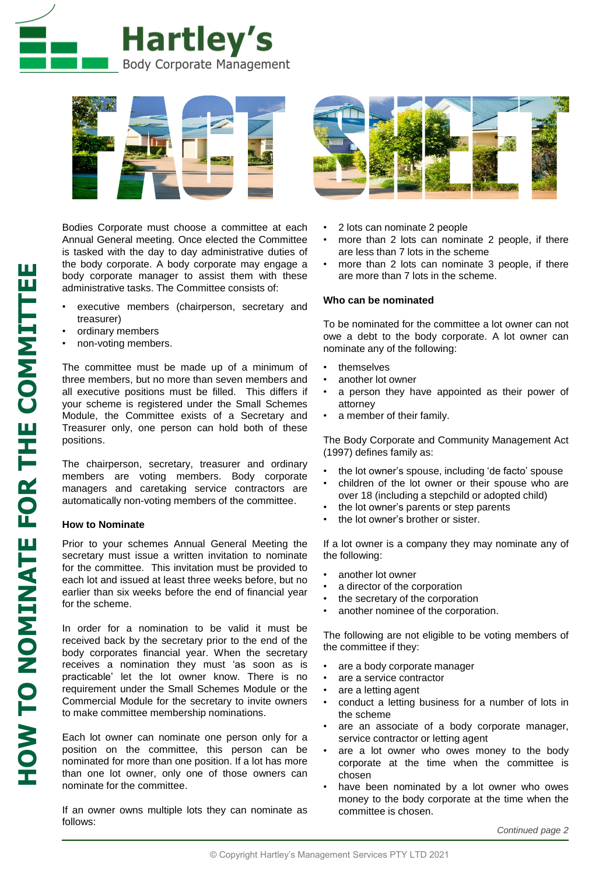



Bodies Corporate must choose a committee at each Annual General meeting. Once elected the Committee is tasked with the day to day administrative duties of the body corporate. A body corporate may engage a body corporate manager to assist them with these administrative tasks. The Committee consists of:

- executive members (chairperson, secretary and treasurer)
- ordinary members
- non-voting members.

The committee must be made up of a minimum of three members, but no more than seven members and all executive positions must be filled. This differs if your scheme is registered under the Small Schemes Module, the Committee exists of a Secretary and Treasurer only, one person can hold both of these positions.

The chairperson, secretary, treasurer and ordinary members are voting members. Body corporate managers and caretaking service contractors are automatically non-voting members of the committee.

## **How to Nominate**

Prior to your schemes Annual General Meeting the secretary must issue a written invitation to nominate for the committee. This invitation must be provided to each lot and issued at least three weeks before, but no earlier than six weeks before the end of financial year for the scheme.

In order for a nomination to be valid it must be received back by the secretary prior to the end of the body corporates financial year. When the secretary receives a nomination they must 'as soon as is practicable' let the lot owner know. There is no requirement under the Small Schemes Module or the Commercial Module for the secretary to invite owners to make committee membership nominations.

Each lot owner can nominate one person only for a position on the committee, this person can be nominated for more than one position. If a lot has more than one lot owner, only one of those owners can nominate for the committee.

If an owner owns multiple lots they can nominate as follows:



- 2 lots can nominate 2 people
- more than 2 lots can nominate 2 people, if there are less than 7 lots in the scheme
- more than 2 lots can nominate 3 people, if there are more than 7 lots in the scheme.

## **Who can be nominated**

To be nominated for the committee a lot owner can not owe a debt to the body corporate. A lot owner can nominate any of the following:

- themselves
- another lot owner
- a person they have appointed as their power of attorney
- a member of their family.

The Body Corporate and Community Management Act (1997) defines family as:

- the lot owner's spouse, including 'de facto' spouse
- children of the lot owner or their spouse who are over 18 (including a stepchild or adopted child)
- the lot owner's parents or step parents
- the lot owner's brother or sister.

If a lot owner is a company they may nominate any of the following:

- another lot owner
- a director of the corporation
- the secretary of the corporation
- another nominee of the corporation.

The following are not eligible to be voting members of the committee if they:

- are a body corporate manager
- are a service contractor
- are a letting agent
- conduct a letting business for a number of lots in the scheme
- are an associate of a body corporate manager, service contractor or letting agent
- are a lot owner who owes money to the body corporate at the time when the committee is chosen
- have been nominated by a lot owner who owes money to the body corporate at the time when the committee is chosen.